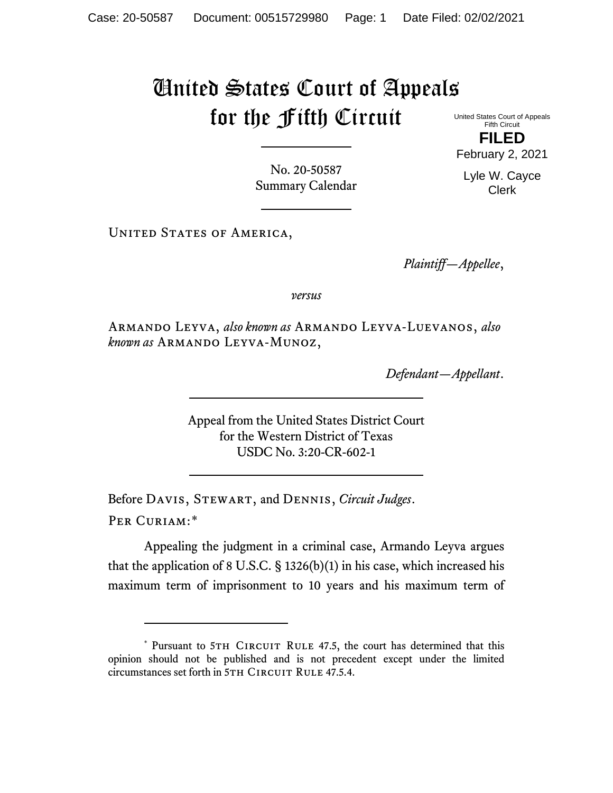## United States Court of Appeals for the Fifth Circuit

United States Court of Appeals Fifth Circuit **FILED** February 2, 2021

No. 20-50587 Summary Calendar

UNITED STATES OF AMERICA,

*Plaintiff—Appellee*,

*versus*

Armando Leyva, *also known as* Armando Leyva-Luevanos, *also known as* Armando Leyva-Munoz,

*Defendant—Appellant*.

Appeal from the United States District Court for the Western District of Texas USDC No. 3:20-CR-602-1

Before Davis, Stewart, and Dennis, *Circuit Judges*. Per Curiam:[\\*](#page-0-0)

Appealing the judgment in a criminal case, Armando Leyva argues that the application of 8 U.S.C. § 1326(b)(1) in his case, which increased his maximum term of imprisonment to 10 years and his maximum term of

Lyle W. Cayce Clerk

<span id="page-0-0"></span><sup>\*</sup> Pursuant to 5TH CIRCUIT RULE 47.5, the court has determined that this opinion should not be published and is not precedent except under the limited circumstances set forth in 5TH CIRCUIT RULE 47.5.4.